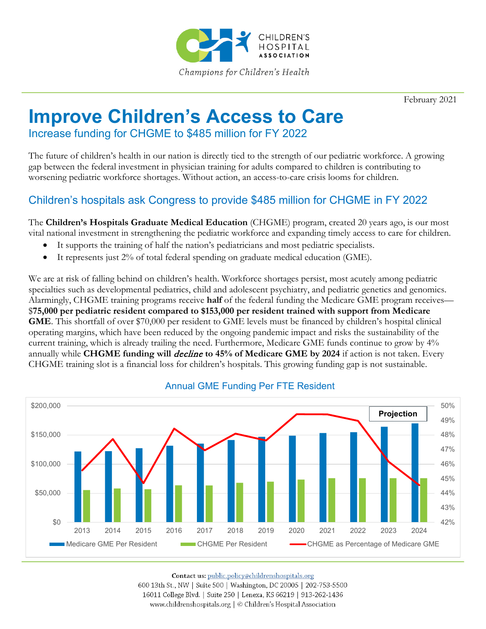

February 2021

## **Improve Children's Access to Care**

Increase funding for CHGME to \$485 million for FY 2022

The future of children's health in our nation is directly tied to the strength of our pediatric workforce. A growing gap between the federal investment in physician training for adults compared to children is contributing to worsening pediatric workforce shortages. Without action, an access-to-care crisis looms for children.

## Children's hospitals ask Congress to provide \$485 million for CHGME in FY 2022

The **Children's Hospitals Graduate Medical Education** (CHGME) program, created 20 years ago, is our most vital national investment in strengthening the pediatric workforce and expanding timely access to care for children.

- It supports the training of half the nation's pediatricians and most pediatric specialists.
- It represents just 2% of total federal spending on graduate medical education (GME).

We are at risk of falling behind on children's health. Workforce shortages persist, most acutely among pediatric specialties such as developmental pediatrics, child and adolescent psychiatry, and pediatric genetics and genomics. Alarmingly, CHGME training programs receive **half** of the federal funding the Medicare GME program receives— \$**75,000 per pediatric resident compared to \$153,000 per resident trained with support from Medicare GME**. This shortfall of over \$70,000 per resident to GME levels must be financed by children's hospital clinical operating margins, which have been reduced by the ongoing pandemic impact and risks the sustainability of the current training, which is already trailing the need. Furthermore, Medicare GME funds continue to grow by 4% annually while **CHGME funding will** *decline* to 45% of Medicare GME by 2024 if action is not taken. Every CHGME training slot is a financial loss for children's hospitals. This growing funding gap is not sustainable.



## Annual GME Funding Per FTE Resident

Contact us: public.policy@childrenshospitals.org

600 13th St., NW | Suite 500 | Washington, DC 20005 | 202-753-5500 16011 College Blvd. | Suite 250 | Lenexa, KS 66219 | 913-262-1436 www.childrenshospitals.org | © Children's Hospital Association